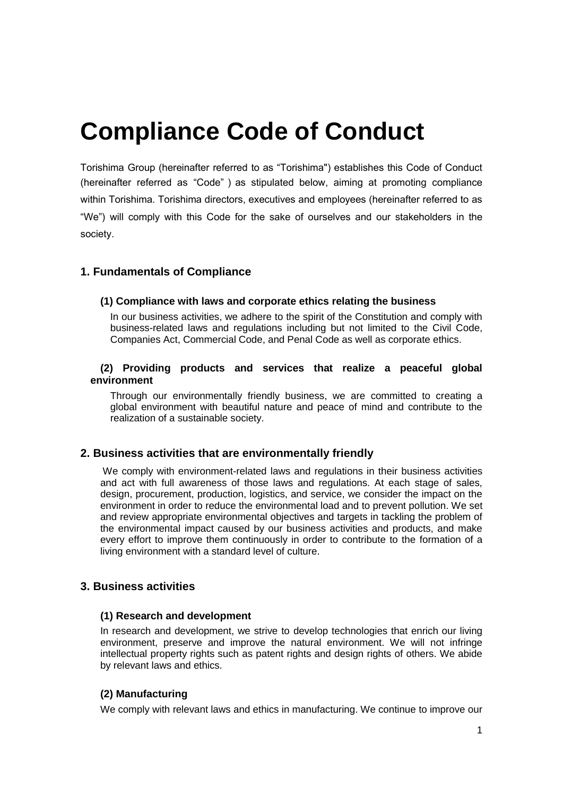# **Compliance Code of Conduct**

Torishima Group (hereinafter referred to as "Torishima") establishes this Code of Conduct (hereinafter referred as "Code") as stipulated below, aiming at promoting compliance within Torishima. Torishima directors, executives and employees (hereinafter referred to as "We") will comply with this Code for the sake of ourselves and our stakeholders in the society.

## **1. Fundamentals of Compliance**

#### **(1) Compliance with laws and corporate ethics relating the business**

In our business activities, we adhere to the spirit of the Constitution and comply with business-related laws and regulations including but not limited to the Civil Code, Companies Act, Commercial Code, and Penal Code as well as corporate ethics.

#### **(2) Providing products and services that realize a peaceful global environment**

Through our environmentally friendly business, we are committed to creating a global environment with beautiful nature and peace of mind and contribute to the realization of a sustainable society.

## **2. Business activities that are environmentally friendly**

We comply with environment-related laws and regulations in their business activities and act with full awareness of those laws and regulations. At each stage of sales, design, procurement, production, logistics, and service, we consider the impact on the environment in order to reduce the environmental load and to prevent pollution. We set and review appropriate environmental objectives and targets in tackling the problem of the environmental impact caused by our business activities and products, and make every effort to improve them continuously in order to contribute to the formation of a living environment with a standard level of culture.

## **3. Business activities**

#### **(1) Research and development**

In research and development, we strive to develop technologies that enrich our living environment, preserve and improve the natural environment. We will not infringe intellectual property rights such as patent rights and design rights of others. We abide by relevant laws and ethics.

#### **(2) Manufacturing**

We comply with relevant laws and ethics in manufacturing. We continue to improve our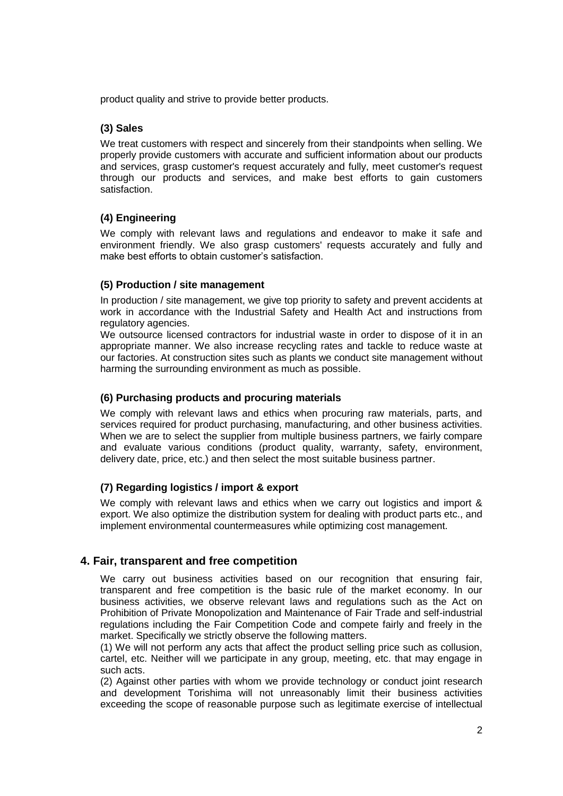product quality and strive to provide better products.

## **(3) Sales**

We treat customers with respect and sincerely from their standpoints when selling. We properly provide customers with accurate and sufficient information about our products and services, grasp customer's request accurately and fully, meet customer's request through our products and services, and make best efforts to gain customers satisfaction.

## **(4) Engineering**

We comply with relevant laws and regulations and endeavor to make it safe and environment friendly. We also grasp customers' requests accurately and fully and make best efforts to obtain customer's satisfaction.

## **(5) Production / site management**

In production / site management, we give top priority to safety and prevent accidents at work in accordance with the Industrial Safety and Health Act and instructions from regulatory agencies.

We outsource licensed contractors for industrial waste in order to dispose of it in an appropriate manner. We also increase recycling rates and tackle to reduce waste at our factories. At construction sites such as plants we conduct site management without harming the surrounding environment as much as possible.

## **(6) Purchasing products and procuring materials**

We comply with relevant laws and ethics when procuring raw materials, parts, and services required for product purchasing, manufacturing, and other business activities. When we are to select the supplier from multiple business partners, we fairly compare and evaluate various conditions (product quality, warranty, safety, environment, delivery date, price, etc.) and then select the most suitable business partner.

## **(7) Regarding logistics / import & export**

We comply with relevant laws and ethics when we carry out logistics and import & export. We also optimize the distribution system for dealing with product parts etc., and implement environmental countermeasures while optimizing cost management.

## **4. Fair, transparent and free competition**

We carry out business activities based on our recognition that ensuring fair, transparent and free competition is the basic rule of the market economy. In our business activities, we observe relevant laws and regulations such as the Act on Prohibition of Private Monopolization and Maintenance of Fair Trade and self-industrial regulations including the Fair Competition Code and compete fairly and freely in the market. Specifically we strictly observe the following matters.

(1) We will not perform any acts that affect the product selling price such as collusion, cartel, etc. Neither will we participate in any group, meeting, etc. that may engage in such acts.

(2) Against other parties with whom we provide technology or conduct joint research and development Torishima will not unreasonably limit their business activities exceeding the scope of reasonable purpose such as legitimate exercise of intellectual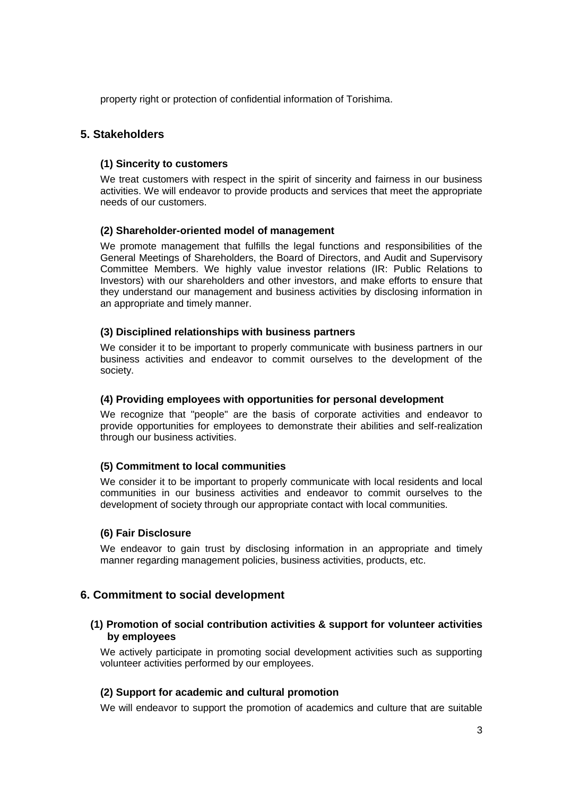property right or protection of confidential information of Torishima.

## **5. Stakeholders**

#### **(1) Sincerity to customers**

We treat customers with respect in the spirit of sincerity and fairness in our business activities. We will endeavor to provide products and services that meet the appropriate needs of our customers.

#### **(2) Shareholder-oriented model of management**

We promote management that fulfills the legal functions and responsibilities of the General Meetings of Shareholders, the Board of Directors, and Audit and Supervisory Committee Members. We highly value investor relations (IR: Public Relations to Investors) with our shareholders and other investors, and make efforts to ensure that they understand our management and business activities by disclosing information in an appropriate and timely manner.

#### **(3) Disciplined relationships with business partners**

We consider it to be important to properly communicate with business partners in our business activities and endeavor to commit ourselves to the development of the society.

#### **(4) Providing employees with opportunities for personal development**

We recognize that "people" are the basis of corporate activities and endeavor to provide opportunities for employees to demonstrate their abilities and self-realization through our business activities.

## **(5) Commitment to local communities**

We consider it to be important to properly communicate with local residents and local communities in our business activities and endeavor to commit ourselves to the development of society through our appropriate contact with local communities.

## **(6) Fair Disclosure**

We endeavor to gain trust by disclosing information in an appropriate and timely manner regarding management policies, business activities, products, etc.

## **6. Commitment to social development**

## **(1) Promotion of social contribution activities & support for volunteer activities by employees**

We actively participate in promoting social development activities such as supporting volunteer activities performed by our employees.

## **(2) Support for academic and cultural promotion**

We will endeavor to support the promotion of academics and culture that are suitable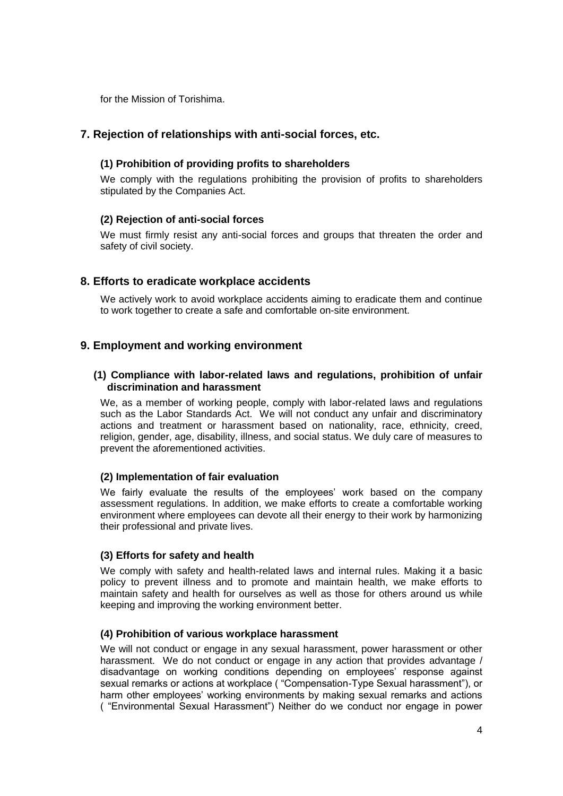for the Mission of Torishima.

## **7. Rejection of relationships with anti-social forces, etc.**

## **(1) Prohibition of providing profits to shareholders**

We comply with the regulations prohibiting the provision of profits to shareholders stipulated by the Companies Act.

#### **(2) Rejection of anti-social forces**

We must firmly resist any anti-social forces and groups that threaten the order and safety of civil society.

## **8. Efforts to eradicate workplace accidents**

We actively work to avoid workplace accidents aiming to eradicate them and continue to work together to create a safe and comfortable on-site environment.

## **9. Employment and working environment**

#### **(1) Compliance with labor-related laws and regulations, prohibition of unfair discrimination and harassment**

We, as a member of working people, comply with labor-related laws and regulations such as the Labor Standards Act. We will not conduct any unfair and discriminatory actions and treatment or harassment based on nationality, race, ethnicity, creed, religion, gender, age, disability, illness, and social status. We duly care of measures to prevent the aforementioned activities.

## **(2) Implementation of fair evaluation**

We fairly evaluate the results of the employees' work based on the company assessment regulations. In addition, we make efforts to create a comfortable working environment where employees can devote all their energy to their work by harmonizing their professional and private lives.

#### **(3) Efforts for safety and health**

We comply with safety and health-related laws and internal rules. Making it a basic policy to prevent illness and to promote and maintain health, we make efforts to maintain safety and health for ourselves as well as those for others around us while keeping and improving the working environment better.

#### **(4) Prohibition of various workplace harassment**

We will not conduct or engage in any sexual harassment, power harassment or other harassment. We do not conduct or engage in any action that provides advantage / disadvantage on working conditions depending on employees' response against sexual remarks or actions at workplace ( "Compensation-Type Sexual harassment"), or harm other employees' working environments by making sexual remarks and actions ( "Environmental Sexual Harassment") Neither do we conduct nor engage in power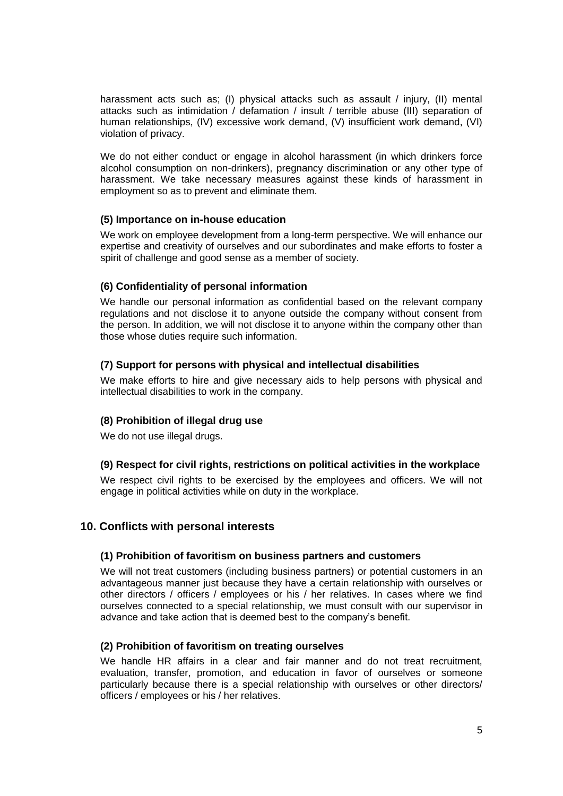harassment acts such as; (I) physical attacks such as assault / injury, (II) mental attacks such as intimidation / defamation / insult / terrible abuse (III) separation of human relationships, (IV) excessive work demand, (V) insufficient work demand, (VI) violation of privacy.

We do not either conduct or engage in alcohol harassment (in which drinkers force alcohol consumption on non-drinkers), pregnancy discrimination or any other type of harassment. We take necessary measures against these kinds of harassment in employment so as to prevent and eliminate them.

## **(5) Importance on in-house education**

We work on employee development from a long-term perspective. We will enhance our expertise and creativity of ourselves and our subordinates and make efforts to foster a spirit of challenge and good sense as a member of society.

## **(6) Confidentiality of personal information**

We handle our personal information as confidential based on the relevant company regulations and not disclose it to anyone outside the company without consent from the person. In addition, we will not disclose it to anyone within the company other than those whose duties require such information.

#### **(7) Support for persons with physical and intellectual disabilities**

We make efforts to hire and give necessary aids to help persons with physical and intellectual disabilities to work in the company.

## **(8) Prohibition of illegal drug use**

We do not use illegal drugs.

#### **(9) Respect for civil rights, restrictions on political activities in the workplace**

We respect civil rights to be exercised by the employees and officers. We will not engage in political activities while on duty in the workplace.

## **10. Conflicts with personal interests**

#### **(1) Prohibition of favoritism on business partners and customers**

We will not treat customers (including business partners) or potential customers in an advantageous manner just because they have a certain relationship with ourselves or other directors / officers / employees or his / her relatives. In cases where we find ourselves connected to a special relationship, we must consult with our supervisor in advance and take action that is deemed best to the company's benefit.

#### **(2) Prohibition of favoritism on treating ourselves**

We handle HR affairs in a clear and fair manner and do not treat recruitment. evaluation, transfer, promotion, and education in favor of ourselves or someone particularly because there is a special relationship with ourselves or other directors/ officers / employees or his / her relatives.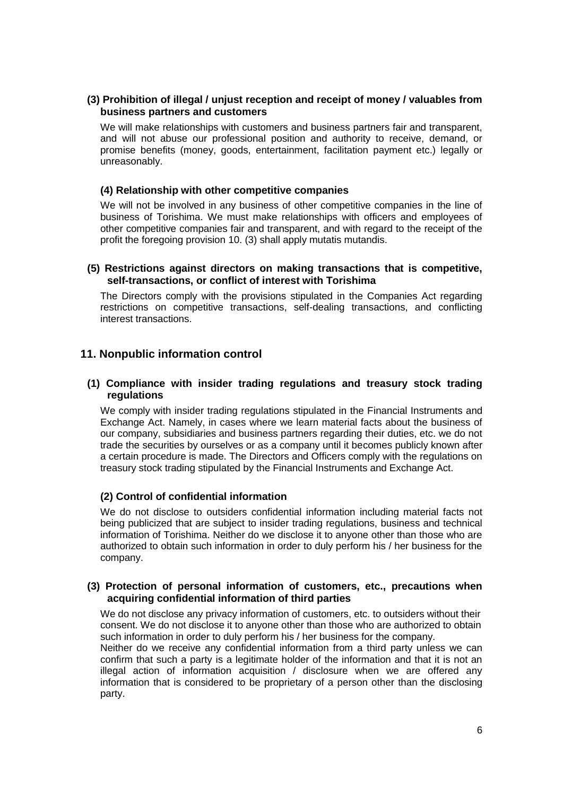#### **(3) Prohibition of illegal / unjust reception and receipt of money / valuables from business partners and customers**

We will make relationships with customers and business partners fair and transparent, and will not abuse our professional position and authority to receive, demand, or promise benefits (money, goods, entertainment, facilitation payment etc.) legally or unreasonably.

#### **(4) Relationship with other competitive companies**

We will not be involved in any business of other competitive companies in the line of business of Torishima. We must make relationships with officers and employees of other competitive companies fair and transparent, and with regard to the receipt of the profit the foregoing provision 10. (3) shall apply mutatis mutandis.

#### **(5) Restrictions against directors on making transactions that is competitive, self-transactions, or conflict of interest with Torishima**

The Directors comply with the provisions stipulated in the Companies Act regarding restrictions on competitive transactions, self-dealing transactions, and conflicting interest transactions.

## **11. Nonpublic information control**

#### **(1) Compliance with insider trading regulations and treasury stock trading regulations**

We comply with insider trading regulations stipulated in the Financial Instruments and Exchange Act. Namely, in cases where we learn material facts about the business of our company, subsidiaries and business partners regarding their duties, etc. we do not trade the securities by ourselves or as a company until it becomes publicly known after a certain procedure is made. The Directors and Officers comply with the regulations on treasury stock trading stipulated by the Financial Instruments and Exchange Act.

#### **(2) Control of confidential information**

We do not disclose to outsiders confidential information including material facts not being publicized that are subject to insider trading regulations, business and technical information of Torishima. Neither do we disclose it to anyone other than those who are authorized to obtain such information in order to duly perform his / her business for the company.

#### **(3) Protection of personal information of customers, etc., precautions when acquiring confidential information of third parties**

We do not disclose any privacy information of customers, etc. to outsiders without their consent. We do not disclose it to anyone other than those who are authorized to obtain such information in order to duly perform his / her business for the company.

Neither do we receive any confidential information from a third party unless we can confirm that such a party is a legitimate holder of the information and that it is not an illegal action of information acquisition / disclosure when we are offered any information that is considered to be proprietary of a person other than the disclosing party.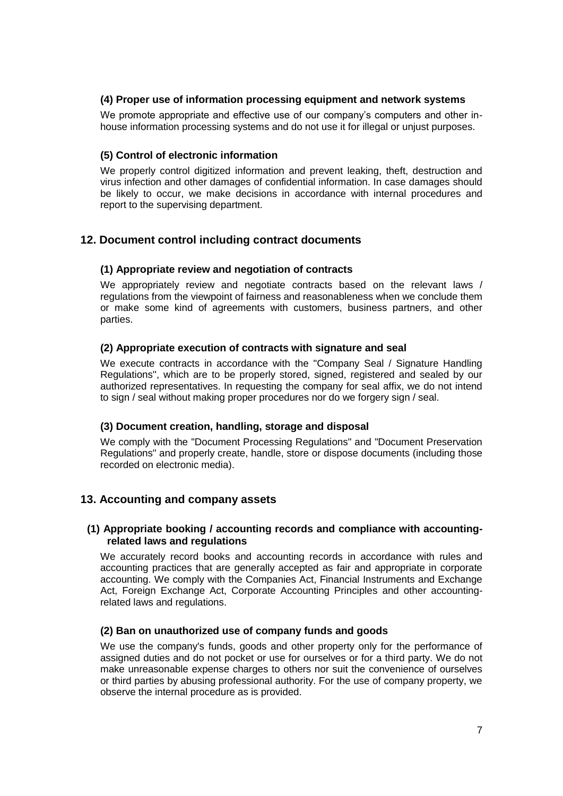## **(4) Proper use of information processing equipment and network systems**

We promote appropriate and effective use of our company's computers and other inhouse information processing systems and do not use it for illegal or unjust purposes.

#### **(5) Control of electronic information**

We properly control digitized information and prevent leaking, theft, destruction and virus infection and other damages of confidential information. In case damages should be likely to occur, we make decisions in accordance with internal procedures and report to the supervising department.

## **12. Document control including contract documents**

#### **(1) Appropriate review and negotiation of contracts**

We appropriately review and negotiate contracts based on the relevant laws / regulations from the viewpoint of fairness and reasonableness when we conclude them or make some kind of agreements with customers, business partners, and other parties.

#### **(2) Appropriate execution of contracts with signature and seal**

We execute contracts in accordance with the "Company Seal / Signature Handling Regulations'', which are to be properly stored, signed, registered and sealed by our authorized representatives. In requesting the company for seal affix, we do not intend to sign / seal without making proper procedures nor do we forgery sign / seal.

#### **(3) Document creation, handling, storage and disposal**

We comply with the "Document Processing Regulations" and "Document Preservation Regulations" and properly create, handle, store or dispose documents (including those recorded on electronic media).

## **13. Accounting and company assets**

#### **(1) Appropriate booking / accounting records and compliance with accountingrelated laws and regulations**

We accurately record books and accounting records in accordance with rules and accounting practices that are generally accepted as fair and appropriate in corporate accounting. We comply with the Companies Act, Financial Instruments and Exchange Act, Foreign Exchange Act, Corporate Accounting Principles and other accountingrelated laws and regulations.

#### **(2) Ban on unauthorized use of company funds and goods**

We use the company's funds, goods and other property only for the performance of assigned duties and do not pocket or use for ourselves or for a third party. We do not make unreasonable expense charges to others nor suit the convenience of ourselves or third parties by abusing professional authority. For the use of company property, we observe the internal procedure as is provided.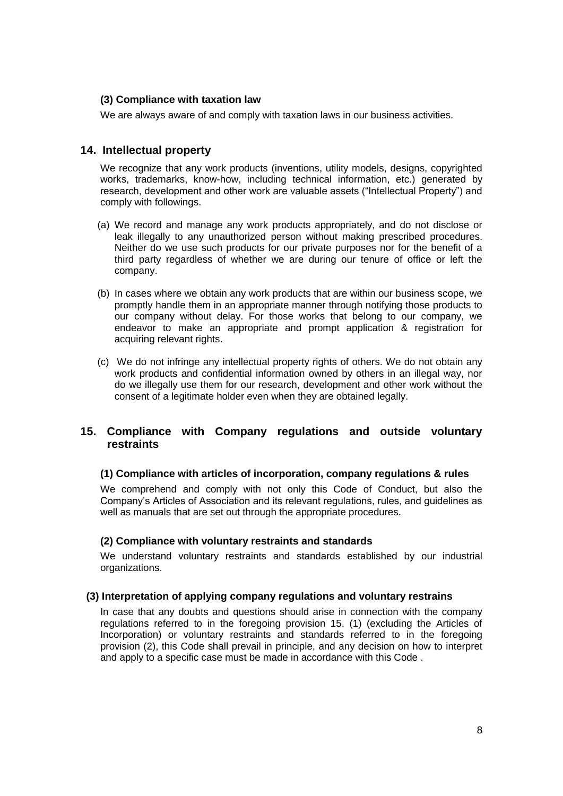## **(3) Compliance with taxation law**

We are always aware of and comply with taxation laws in our business activities.

## **14. Intellectual property**

We recognize that any work products (inventions, utility models, designs, copyrighted works, trademarks, know-how, including technical information, etc.) generated by research, development and other work are valuable assets ("Intellectual Property") and comply with followings.

- (a) We record and manage any work products appropriately, and do not disclose or leak illegally to any unauthorized person without making prescribed procedures. Neither do we use such products for our private purposes nor for the benefit of a third party regardless of whether we are during our tenure of office or left the company.
- (b) In cases where we obtain any work products that are within our business scope, we promptly handle them in an appropriate manner through notifying those products to our company without delay. For those works that belong to our company, we endeavor to make an appropriate and prompt application & registration for acquiring relevant rights.
- (c) We do not infringe any intellectual property rights of others. We do not obtain any work products and confidential information owned by others in an illegal way, nor do we illegally use them for our research, development and other work without the consent of a legitimate holder even when they are obtained legally.

## **15. Compliance with Company regulations and outside voluntary restraints**

#### **(1) Compliance with articles of incorporation, company regulations & rules**

We comprehend and comply with not only this Code of Conduct, but also the Company's Articles of Association and its relevant regulations, rules, and guidelines as well as manuals that are set out through the appropriate procedures.

#### **(2) Compliance with voluntary restraints and standards**

We understand voluntary restraints and standards established by our industrial organizations.

#### **(3) Interpretation of applying company regulations and voluntary restrains**

In case that any doubts and questions should arise in connection with the company regulations referred to in the foregoing provision 15. (1) (excluding the Articles of Incorporation) or voluntary restraints and standards referred to in the foregoing provision (2), this Code shall prevail in principle, and any decision on how to interpret and apply to a specific case must be made in accordance with this Code .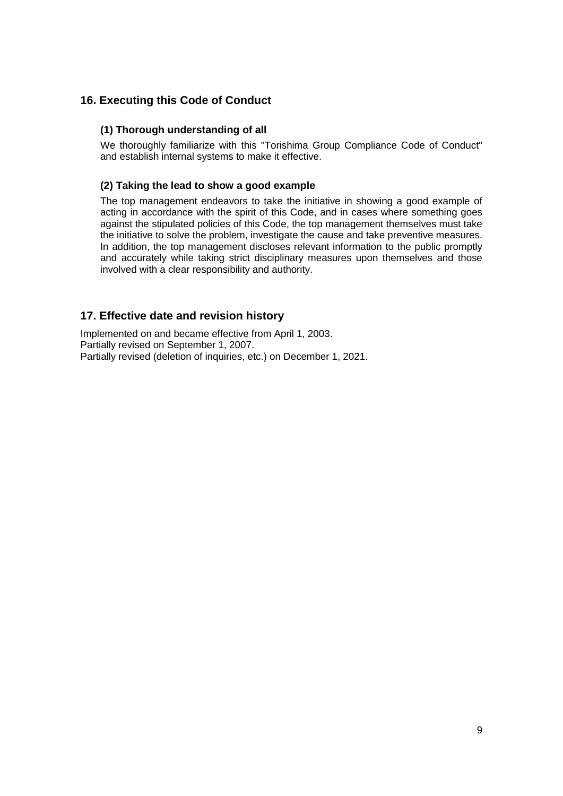## **16. Executing this Code of Conduct**

## **(1) Thorough understanding of all**

We thoroughly familiarize with this "Torishima Group Compliance Code of Conduct" and establish internal systems to make it effective.

## **(2) Taking the lead to show a good example**

The top management endeavors to take the initiative in showing a good example of acting in accordance with the spirit of this Code, and in cases where something goes against the stipulated policies of this Code, the top management themselves must take the initiative to solve the problem, investigate the cause and take preventive measures. In addition, the top management discloses relevant information to the public promptly and accurately while taking strict disciplinary measures upon themselves and those involved with a clear responsibility and authority.

## **17. Effective date and revision history**

Implemented on and became effective from April 1, 2003. Partially revised on September 1, 2007. Partially revised (deletion of inquiries, etc.) on December 1, 2021.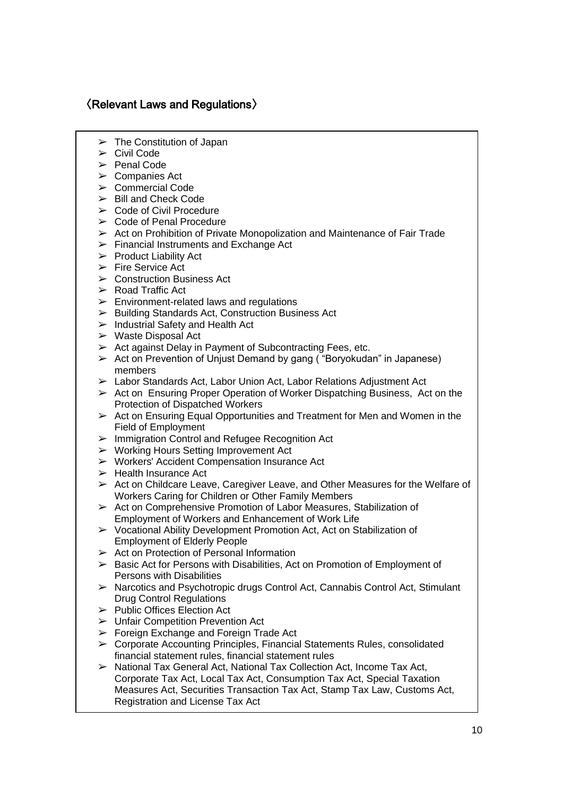## 〈Relevant Laws and Regulations〉

- $\triangleright$  The Constitution of Japan
- ➢ Civil Code
- ➢ Penal Code
- $\triangleright$  Companies Act
- ➢ Commercial Code
- ➢ Bill and Check Code
- $\triangleright$  Code of Civil Procedure
- ➢ Code of Penal Procedure
- ➢ Act on Prohibition of Private Monopolization and Maintenance of Fair Trade
- $\triangleright$  Financial Instruments and Exchange Act
- ➢ Product Liability Act
- $\triangleright$  Fire Service Act
- $\triangleright$  Construction Business Act
- ➢ Road Traffic Act
- $\triangleright$  Environment-related laws and regulations
- ➢ Building Standards Act, Construction Business Act
- $\triangleright$  Industrial Safety and Health Act
- ➢ Waste Disposal Act
- $\geq$  Act against Delay in Payment of Subcontracting Fees, etc.
- ➢ Act on Prevention of Unjust Demand by gang ( "Boryokudan" in Japanese) members
- $\triangleright$  Labor Standards Act, Labor Union Act, Labor Relations Adjustment Act
- $\triangleright$  Act on Ensuring Proper Operation of Worker Dispatching Business, Act on the Protection of Dispatched Workers
- $\triangleright$  Act on Ensuring Equal Opportunities and Treatment for Men and Women in the Field of Employment
- ➢ Immigration Control and Refugee Recognition Act
- ➢ Working Hours Setting Improvement Act
- ➢ Workers' Accident Compensation Insurance Act
- $\triangleright$  Health Insurance Act
- $\triangleright$  Act on Childcare Leave, Caregiver Leave, and Other Measures for the Welfare of Workers Caring for Children or Other Family Members
- $\triangleright$  Act on Comprehensive Promotion of Labor Measures, Stabilization of Employment of Workers and Enhancement of Work Life
- $\triangleright$  Vocational Ability Development Promotion Act, Act on Stabilization of Employment of Elderly People
- ➢ Act on Protection of Personal Information
- ➢ Basic Act for Persons with Disabilities, Act on Promotion of Employment of Persons with Disabilities
- ➢ Narcotics and Psychotropic drugs Control Act, Cannabis Control Act, Stimulant Drug Control Regulations
- ➢ Public Offices Election Act
- ➢ Unfair Competition Prevention Act
- $\triangleright$  Foreign Exchange and Foreign Trade Act
- $\triangleright$  Corporate Accounting Principles, Financial Statements Rules, consolidated financial statement rules, financial statement rules
- ➢ National Tax General Act, National Tax Collection Act, Income Tax Act, Corporate Tax Act, Local Tax Act, Consumption Tax Act, Special Taxation Measures Act, Securities Transaction Tax Act, Stamp Tax Law, Customs Act, Registration and License Tax Act